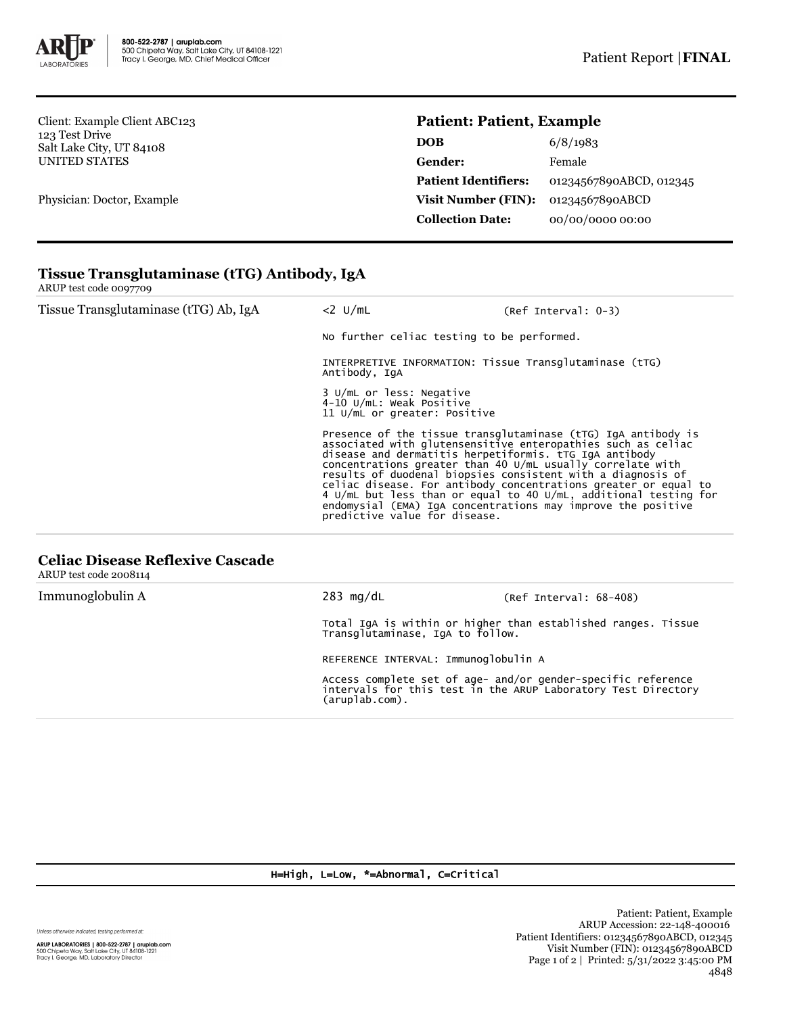

Client: Example Client ABC123 123 Test Drive Salt Lake City, UT 84108 UNITED STATES

Physician: Doctor, Example

## **Patient: Patient, Example**

| DOB                         | 6/8/1983                |
|-----------------------------|-------------------------|
| Gender:                     | Female                  |
| <b>Patient Identifiers:</b> | 01234567890ABCD, 012345 |
| Visit Number (FIN):         | 01234567890ABCD         |
| <b>Collection Date:</b>     | 00/00/0000 00:00        |

# **Tissue Transglutaminase (tTG) Antibody, IgA**

ARUP test code 0097709

| Tissue Transglutaminase (tTG) Ab, IgA | $<$ 2 U/mL                                                                           | (Ref Interval: 0-3)                                                                                                                                                                                                                                                                                                                                                                                                                                                                                                         |  |  |
|---------------------------------------|--------------------------------------------------------------------------------------|-----------------------------------------------------------------------------------------------------------------------------------------------------------------------------------------------------------------------------------------------------------------------------------------------------------------------------------------------------------------------------------------------------------------------------------------------------------------------------------------------------------------------------|--|--|
|                                       | No further celiac testing to be performed.                                           |                                                                                                                                                                                                                                                                                                                                                                                                                                                                                                                             |  |  |
|                                       | Antibody, IgA                                                                        | INTERPRETIVE INFORMATION: Tissue Transglutaminase (tTG)                                                                                                                                                                                                                                                                                                                                                                                                                                                                     |  |  |
|                                       | 3 U/mL or less: Negative<br>4-10 U/mL: Weak Positive<br>11 U/mL or greater: Positive |                                                                                                                                                                                                                                                                                                                                                                                                                                                                                                                             |  |  |
|                                       | predictive value for disease.                                                        | Presence of the tissue transglutaminase (tTG) IgA antibody is<br>associated with glutensensitive enteropathies such as celiac<br>disease and dermatitis herpetiformis. tTG IqA antibody<br>concentrations greater than 40 U/mL usually correlate with<br>results of duodenal biopsies consistent with a diagnosis of<br>celiac disease. For antibody concentrations greater or equal to<br>4 U/mL but less than or equal to 40 U/mL, additional testing for<br>endomysial (EMA) IgA concentrations may improve the positive |  |  |
|                                       |                                                                                      |                                                                                                                                                                                                                                                                                                                                                                                                                                                                                                                             |  |  |

### **Celiac Disease Reflexive Cascade**

ARUP test code 2008114

| Immunoglobulin A | $283 \text{ mg/dL}$                                                                                                                                                                                                                                                                          | $(Ref Interval: 68-408)$ |
|------------------|----------------------------------------------------------------------------------------------------------------------------------------------------------------------------------------------------------------------------------------------------------------------------------------------|--------------------------|
|                  | Total IgA is within or higher than established ranges. Tissue<br>Transglutaminase, IgA to follow.<br>REFERENCE INTERVAL: Immunoglobulin A<br>Access complete set of age- and/or gender-specific reference<br>intervals for this test in the ARUP Laboratory Test Directory<br>(aruplab.com). |                          |
|                  |                                                                                                                                                                                                                                                                                              |                          |
|                  |                                                                                                                                                                                                                                                                                              |                          |

#### H=High, L=Low, \*=Abnormal, C=Critical

Unless otherwise indicated, testing performed at:

**ARUP LABORATORIES | 800-522-2787 | aruplab.com**<br>500 Chipeta Way, Salt Lake City, UT 84108-1221<br>Tracy I. George, MD, Laboratory Director

Patient: Patient, Example ARUP Accession: 22-148-400016 Patient Identifiers: 01234567890ABCD, 012345 Visit Number (FIN): 01234567890ABCD Page 1 of 2 | Printed: 5/31/2022 3:45:00 PM 4848